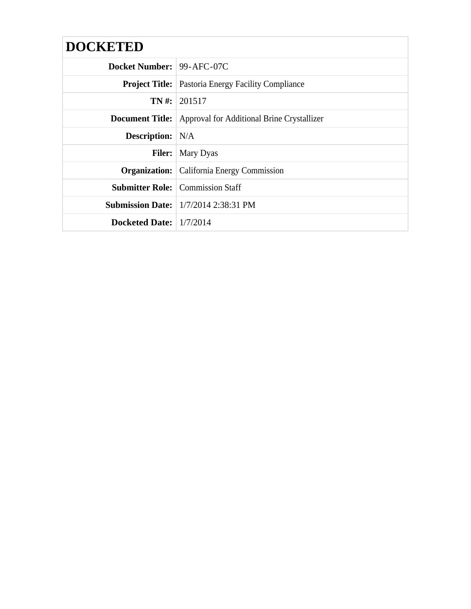| <b>Docket Number: 99-AFC-07C</b> |                                                                   |
|----------------------------------|-------------------------------------------------------------------|
|                                  | <b>Project Title:</b> Pastoria Energy Facility Compliance         |
|                                  | $TN \#: 201517$                                                   |
|                                  | <b>Document Title:</b> Approval for Additional Brine Crystallizer |
| <b>Description:</b> N/A          |                                                                   |
|                                  | <b>Filer:</b> Mary Dyas                                           |
|                                  | <b>Organization:</b> California Energy Commission                 |
|                                  | <b>Submitter Role:</b> Commission Staff                           |
|                                  | <b>Submission Date:</b> 1/7/2014 2:38:31 PM                       |
| Docketed Date: $1/7/2014$        |                                                                   |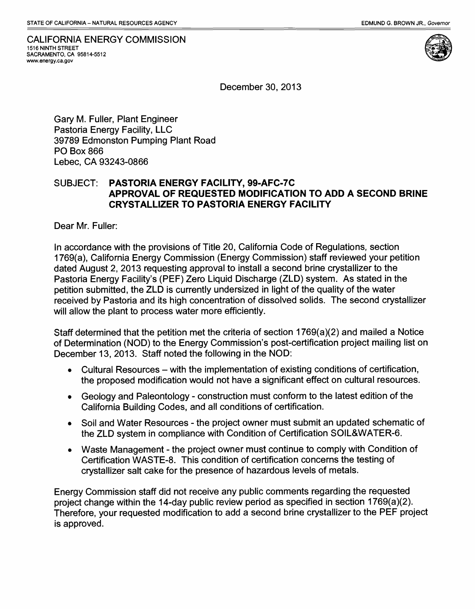CALIFORNIA ENERGY COMMISSION<br>1516 NINTH STREET<br>SACRAMENTO, CA 95814-5512<br>www.energy.ca.gov 1516 NINTH STREET<br>SACRAMENTO, CA 95814-5512 www.energy.ca.gov



December 30,2013

Gary M. Fuller, Plant Engineer Pastoria Energy Facility, LLC 39789 Edmonston Pumping Plant Road PO Box 866 Lebec, CA 93243-0866

## SUBJECT: PASTORIA ENERGY FACILITY, 99·AFC·7C APPROVAL OF REQUESTED MODIFICATION TO ADD A SECOND BRINE CRYSTALLIZER TO PASTORIA ENERGY FACILITY

Dear Mr. Fuller:

In accordance with the provisions of Title 20, California Code of Regulations, section 1769(a), California Energy Commission (Energy Commission) staff reviewed your petition dated August 2, 2013 requesting approval to install a second brine crystallizer to the Pastoria Energy Facility's (PEF) Zero Liquid Discharge (ZLD) system. As stated in the petition submitted, the ZLD is currently undersized in light of the quality of the water received by Pastoria and its high concentration of dissolved solids. The second crystallizer will allow the plant to process water more efficiently.

Staff determined that the petition met the criteria of section 1769(a)(2) and mailed a Notice of Determination (NOD) to the Energy Commission's post-certification project mailing list on December 13, 2013. Staff noted the following in the NOD:

- Cultural Resources with the implementation of existing conditions of certification, the proposed modification would not have a significant effect on cultural resources.
- • Geology and Paleontology construction must conform to the latest edition of the California Building Codes, and all conditions of certification.
- Soil and Water Resources the project owner must submit an updated schematic of the ZLD system in compliance with Condition of Certification SOIL&WATER-6.
- Waste Management the project owner must continue to comply with Condition of Certification WASTE-8. This condition of certification concerns the testing of crystallizer salt cake for the presence of hazardous levels of metals.

Energy Commission staff did not receive any public comments regarding the requested project change within the 14-day public review period as specified in section 1769(a)(2). Therefore, your requested modification to add a second brine crystallizer to the PEF project is approved.